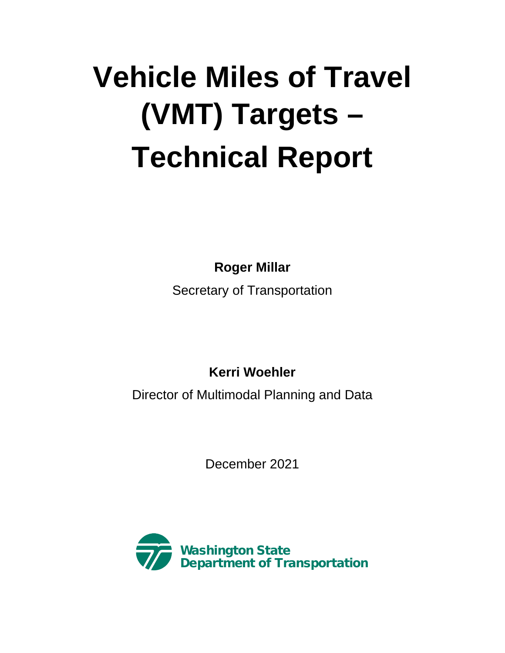# **Vehicle Miles of Travel (VMT) Targets – Technical Report**

**Roger Millar**

Secretary of Transportation

**Kerri Woehler**

Director of Multimodal Planning and Data

December 2021

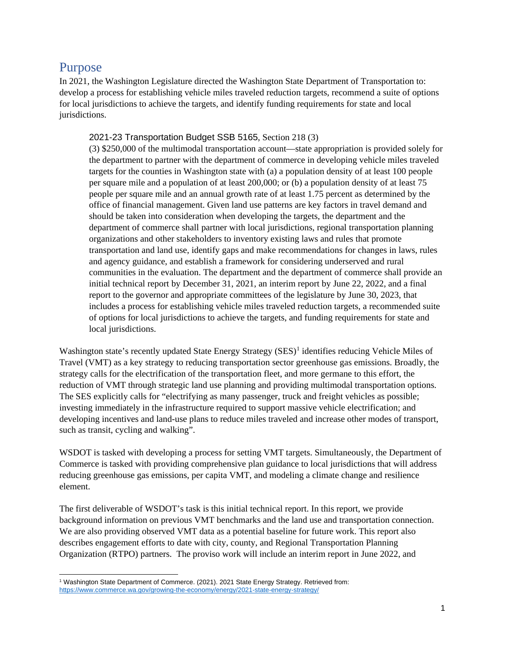#### Purpose

In 2021, the Washington Legislature directed the Washington State Department of Transportation to: develop a process for establishing vehicle miles traveled reduction targets, recommend a suite of options for local jurisdictions to achieve the targets, and identify funding requirements for state and local jurisdictions.

#### 2021-23 Transportation Budget SSB 5165, Section 218 (3)

(3) \$250,000 of the multimodal transportation account—state appropriation is provided solely for the department to partner with the department of commerce in developing vehicle miles traveled targets for the counties in Washington state with (a) a population density of at least 100 people per square mile and a population of at least 200,000; or (b) a population density of at least 75 people per square mile and an annual growth rate of at least 1.75 percent as determined by the office of financial management. Given land use patterns are key factors in travel demand and should be taken into consideration when developing the targets, the department and the department of commerce shall partner with local jurisdictions, regional transportation planning organizations and other stakeholders to inventory existing laws and rules that promote transportation and land use, identify gaps and make recommendations for changes in laws, rules and agency guidance, and establish a framework for considering underserved and rural communities in the evaluation. The department and the department of commerce shall provide an initial technical report by December 31, 2021, an interim report by June 22, 2022, and a final report to the governor and appropriate committees of the legislature by June 30, 2023, that includes a process for establishing vehicle miles traveled reduction targets, a recommended suite of options for local jurisdictions to achieve the targets, and funding requirements for state and local jurisdictions.

Washington state's recently updated State Energy Strategy (SES)<sup>[1](#page-1-0)</sup> identifies reducing Vehicle Miles of Travel (VMT) as a key strategy to reducing transportation sector greenhouse gas emissions. Broadly, the strategy calls for the electrification of the transportation fleet, and more germane to this effort, the reduction of VMT through strategic land use planning and providing multimodal transportation options. The SES explicitly calls for "electrifying as many passenger, truck and freight vehicles as possible; investing immediately in the infrastructure required to support massive vehicle electrification; and developing incentives and land-use plans to reduce miles traveled and increase other modes of transport, such as transit, cycling and walking".

WSDOT is tasked with developing a process for setting VMT targets. Simultaneously, the Department of Commerce is tasked with providing comprehensive plan guidance to local jurisdictions that will address reducing greenhouse gas emissions, per capita VMT, and modeling a climate change and resilience element.

The first deliverable of WSDOT's task is this initial technical report. In this report, we provide background information on previous VMT benchmarks and the land use and transportation connection. We are also providing observed VMT data as a potential baseline for future work. This report also describes engagement efforts to date with city, county, and Regional Transportation Planning Organization (RTPO) partners. The proviso work will include an interim report in June 2022, and

<span id="page-1-0"></span><sup>1</sup> Washington State Department of Commerce. (2021). 2021 State Energy Strategy. Retrieved from: <https://www.commerce.wa.gov/growing-the-economy/energy/2021-state-energy-strategy/>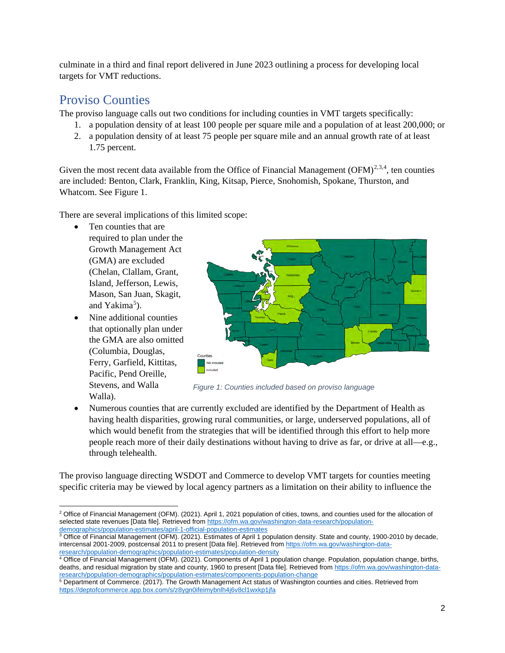culminate in a third and final report delivered in June 2023 outlining a process for developing local targets for VMT reductions.

## Proviso Counties

The proviso language calls out two conditions for including counties in VMT targets specifically:

- 1. a population density of at least 100 people per square mile and a population of at least 200,000; or
- 2. a population density of at least 75 people per square mile and an annual growth rate of at least 1.75 percent.

Given the most recent data available from the Office of Financial Management  $(OFM)^{2,3,4}$  $(OFM)^{2,3,4}$  $(OFM)^{2,3,4}$  $(OFM)^{2,3,4}$  $(OFM)^{2,3,4}$  $(OFM)^{2,3,4}$  $(OFM)^{2,3,4}$ , ten counties are included: Benton, Clark, Franklin, King, Kitsap, Pierce, Snohomish, Spokane, Thurston, and Whatcom. See Figure 1.

There are several implications of this limited scope:

- Ten counties that are required to plan under the Growth Management Act (GMA) are excluded (Chelan, Clallam, Grant, Island, Jefferson, Lewis, Mason, San Juan, Skagit, and Yakima<sup>[5](#page-2-3)</sup>).
- Nine additional counties that optionally plan under the GMA are also omitted (Columbia, Douglas, Ferry, Garfield, Kittitas, Pacific, Pend Oreille, Stevens, and Walla Walla).



*Figure 1: Counties included based on proviso language*

• Numerous counties that are currently excluded are identified by the Department of Health as having health disparities, growing rural communities, or large, underserved populations, all of which would benefit from the strategies that will be identified through this effort to help more people reach more of their daily destinations without having to drive as far, or drive at all—e.g., through telehealth.

The proviso language directing WSDOT and Commerce to develop VMT targets for counties meeting specific criteria may be viewed by local agency partners as a limitation on their ability to influence the

<span id="page-2-0"></span><sup>2</sup> Office of Financial Management (OFM). (2021). April 1, 2021 population of cities, towns, and counties used for the allocation of selected state revenues [Data file]. Retrieved fro[m https://ofm.wa.gov/washington-data-research/population-](https://ofm.wa.gov/washington-data-research/population-demographics/population-estimates/april-1-official-population-estimates)

<span id="page-2-1"></span><sup>&</sup>lt;u>demographics/population-estimates/april-1-official-population-estimates</u><br><sup>3</sup> Office of Financial Management (OFM). (2021). Estimates of April 1 population density. State and county, 1900-2010 by decade, intercensal 2001-2009, postcensal 2011 to present [Data file]. Retrieved from [https://ofm.wa.gov/washington-data](https://ofm.wa.gov/washington-data-research/population-demographics/population-estimates/population-density)[research/population-demographics/population-estimates/population-density](https://ofm.wa.gov/washington-data-research/population-demographics/population-estimates/population-density)

<span id="page-2-2"></span><sup>4</sup> Office of Financial Management (OFM). (2021). Components of April 1 population change. Population, population change, births, deaths, and residual migration by state and county, 1960 to present [Data file]. Retrieved from [https://ofm.wa.gov/washington-data-](https://ofm.wa.gov/washington-data-research/population-demographics/population-estimates/components-population-change)

<span id="page-2-3"></span><sup>&</sup>lt;u>research/population-demographics/population-estimates/components-population-change</u><br><sup>5</sup> Department of Commerce. (2017). The Growth Management Act status of Washington counties and cities. Retrieved from <https://deptofcommerce.app.box.com/s/z8ygn0ifeimybnlh4j6v8cl1wxkp1jfa>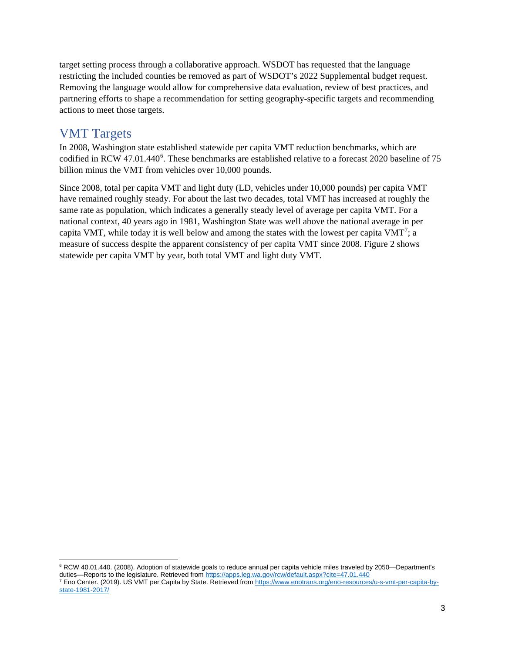target setting process through a collaborative approach. WSDOT has requested that the language restricting the included counties be removed as part of WSDOT's 2022 Supplemental budget request. Removing the language would allow for comprehensive data evaluation, review of best practices, and partnering efforts to shape a recommendation for setting geography-specific targets and recommending actions to meet those targets.

#### VMT Targets

In 2008, Washington state established statewide per capita VMT reduction benchmarks, which are codified in RCW 47.01.440<sup>[6](#page-3-0)</sup>. These benchmarks are established relative to a forecast 2020 baseline of 75 billion minus the VMT from vehicles over 10,000 pounds.

Since 2008, total per capita VMT and light duty (LD, vehicles under 10,000 pounds) per capita VMT have remained roughly steady. For about the last two decades, total VMT has increased at roughly the same rate as population, which indicates a generally steady level of average per capita VMT. For a national context, 40 years ago in 1981, Washington State was well above the national average in per capita VMT, while today it is well below and among the states with the lowest per capita VMT<sup>[7](#page-3-1)</sup>; a measure of success despite the apparent consistency of per capita VMT since 2008. Figure 2 shows statewide per capita VMT by year, both total VMT and light duty VMT.

<span id="page-3-0"></span><sup>&</sup>lt;sup>6</sup> RCW 40.01.440. (2008). Adoption of statewide goals to reduce annual per capita vehicle miles traveled by 2050—Department's duties—Reports to the legislature. Retrieved from <u>https://apps.leg.wa.gov/rcw/default.aspx?cite=47.01.440</u><br><sup>7</sup> Eno Center. (2019). US VMT per Capita by State. Retrieved from <u>https://www.enotrans.org/eno-resources/u-s-vmt</u>

<span id="page-3-1"></span>[state-1981-2017/](https://www.enotrans.org/eno-resources/u-s-vmt-per-capita-by-state-1981-2017/)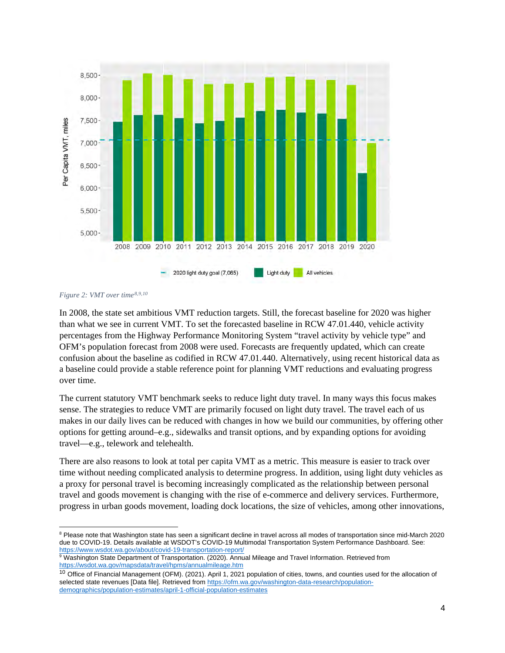



In 2008, the state set ambitious VMT reduction targets. Still, the forecast baseline for 2020 was higher than what we see in current VMT. To set the forecasted baseline in RCW 47.01.440, vehicle activity percentages from the Highway Performance Monitoring System "travel activity by vehicle type" and OFM's population forecast from 2008 were used. Forecasts are frequently updated, which can create confusion about the baseline as codified in RCW 47.01.440. Alternatively, using recent historical data as a baseline could provide a stable reference point for planning VMT reductions and evaluating progress over time.

The current statutory VMT benchmark seeks to reduce light duty travel. In many ways this focus makes sense. The strategies to reduce VMT are primarily focused on light duty travel. The travel each of us makes in our daily lives can be reduced with changes in how we build our communities, by offering other options for getting around–e.g., sidewalks and transit options, and by expanding options for avoiding travel—e.g., telework and telehealth.

There are also reasons to look at total per capita VMT as a metric. This measure is easier to track over time without needing complicated analysis to determine progress. In addition, using light duty vehicles as a proxy for personal travel is becoming increasingly complicated as the relationship between personal travel and goods movement is changing with the rise of e-commerce and delivery services. Furthermore, progress in urban goods movement, loading dock locations, the size of vehicles, among other innovations,

<span id="page-4-0"></span><sup>&</sup>lt;sup>8</sup> Please note that Washington state has seen a significant decline in travel across all modes of transportation since mid-March 2020 due to COVID-19. Details available at WSDOT's COVID-19 Multimodal Transportation System Performance Dashboard. See: <https://www.wsdot.wa.gov/about/covid-19-transportation-report/>

<span id="page-4-1"></span><sup>9</sup> Washington State Department of Transportation. (2020). Annual Mileage and Travel Information. Retrieved from <https://wsdot.wa.gov/mapsdata/travel/hpms/annualmileage.htm>

<span id="page-4-2"></span><sup>&</sup>lt;sup>10</sup> Office of Financial Management (OFM). (2021). April 1, 2021 population of cities, towns, and counties used for the allocation of selected state revenues [Data file]. Retrieved fro[m https://ofm.wa.gov/washington-data-research/population](https://ofm.wa.gov/washington-data-research/population-demographics/population-estimates/april-1-official-population-estimates)[demographics/population-estimates/april-1-official-population-estimates](https://ofm.wa.gov/washington-data-research/population-demographics/population-estimates/april-1-official-population-estimates)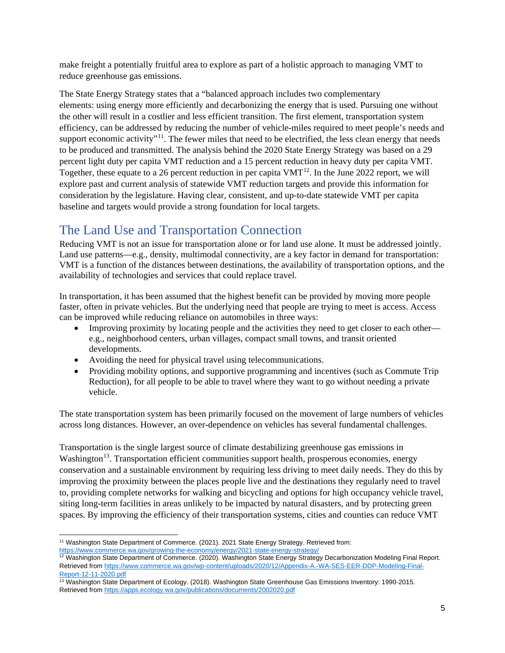make freight a potentially fruitful area to explore as part of a holistic approach to managing VMT to reduce greenhouse gas emissions.

The State Energy Strategy states that a "balanced approach includes two complementary elements: using energy more efficiently and decarbonizing the energy that is used. Pursuing one without the other will result in a costlier and less efficient transition. The first element, transportation system efficiency, can be addressed by reducing the number of vehicle-miles required to meet people's needs and support economic activity"<sup>11</sup>. The fewer miles that need to be electrified, the less clean energy that needs to be produced and transmitted. The analysis behind the 2020 State Energy Strategy was based on a 29 percent light duty per capita VMT reduction and a 15 percent reduction in heavy duty per capita VMT. Together, these equate to a 26 percent reduction in per capita  $VMT^{12}$  $VMT^{12}$  $VMT^{12}$ . In the June 2022 report, we will explore past and current analysis of statewide VMT reduction targets and provide this information for consideration by the legislature. Having clear, consistent, and up-to-date statewide VMT per capita baseline and targets would provide a strong foundation for local targets.

# The Land Use and Transportation Connection

Reducing VMT is not an issue for transportation alone or for land use alone. It must be addressed jointly. Land use patterns—e.g., density, multimodal connectivity, are a key factor in demand for transportation: VMT is a function of the distances between destinations, the availability of transportation options, and the availability of technologies and services that could replace travel.

In transportation, it has been assumed that the highest benefit can be provided by moving more people faster, often in private vehicles. But the underlying need that people are trying to meet is access. Access can be improved while reducing reliance on automobiles in three ways:

- Improving proximity by locating people and the activities they need to get closer to each other e.g., neighborhood centers, urban villages, compact small towns, and transit oriented developments.
- Avoiding the need for physical travel using telecommunications.
- Providing mobility options, and supportive programming and incentives (such as Commute Trip Reduction), for all people to be able to travel where they want to go without needing a private vehicle.

The state transportation system has been primarily focused on the movement of large numbers of vehicles across long distances. However, an over-dependence on vehicles has several fundamental challenges.

Transportation is the single largest source of climate destabilizing greenhouse gas emissions in Washington<sup>13</sup>. Transportation efficient communities support health, prosperous economies, energy conservation and a sustainable environment by requiring less driving to meet daily needs. They do this by improving the proximity between the places people live and the destinations they regularly need to travel to, providing complete networks for walking and bicycling and options for high occupancy vehicle travel, siting long-term facilities in areas unlikely to be impacted by natural disasters, and by protecting green spaces. By improving the efficiency of their transportation systems, cities and counties can reduce VMT

<span id="page-5-0"></span><sup>&</sup>lt;sup>11</sup> Washington State Department of Commerce. (2021). 2021 State Energy Strategy. Retrieved from: <https://www.commerce.wa.gov/growing-the-economy/energy/2021-state-energy-strategy/>

<span id="page-5-1"></span><sup>&</sup>lt;sup>12</sup> Washington State Department of Commerce. (2020). Washington State Energy Strategy Decarbonization Modeling Final Report. Retrieved fro[m https://www.commerce.wa.gov/wp-content/uploads/2020/12/Appendix-A.-WA-SES-EER-DDP-Modeling-Final-](https://www.commerce.wa.gov/wp-content/uploads/2020/12/Appendix-A.-WA-SES-EER-DDP-Modeling-Final-Report-12-11-2020.pdf)[Report-12-11-2020.pdf](https://www.commerce.wa.gov/wp-content/uploads/2020/12/Appendix-A.-WA-SES-EER-DDP-Modeling-Final-Report-12-11-2020.pdf)

<span id="page-5-2"></span><sup>&</sup>lt;sup>13</sup> Washington State Department of Ecology. (2018). Washington State Greenhouse Gas Emissions Inventory: 1990-2015. Retrieved fro[m https://apps.ecology.wa.gov/publications/documents/2002020.pdf](https://apps.ecology.wa.gov/publications/documents/2002020.pdf)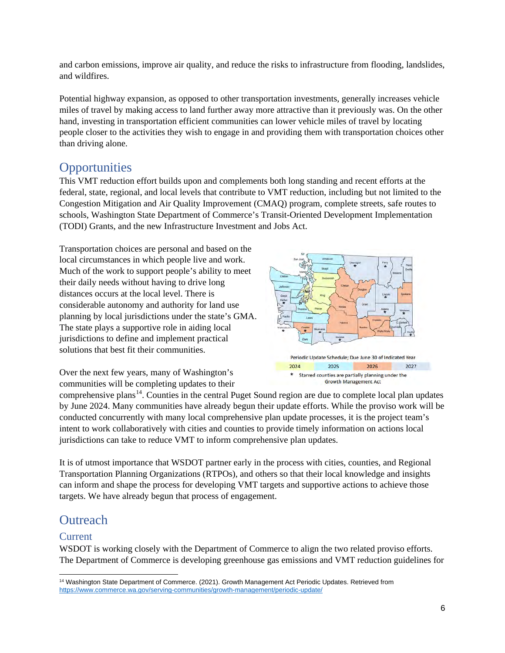and carbon emissions, improve air quality, and reduce the risks to infrastructure from flooding, landslides, and wildfires.

Potential highway expansion, as opposed to other transportation investments, generally increases vehicle miles of travel by making access to land further away more attractive than it previously was. On the other hand, investing in transportation efficient communities can lower vehicle miles of travel by locating people closer to the activities they wish to engage in and providing them with transportation choices other than driving alone.

## **Opportunities**

This VMT reduction effort builds upon and complements both long standing and recent efforts at the federal, state, regional, and local levels that contribute to VMT reduction, including but not limited to the Congestion Mitigation and Air Quality Improvement (CMAQ) program, complete streets, safe routes to schools, Washington State Department of Commerce's Transit-Oriented Development Implementation (TODI) Grants, and the new Infrastructure Investment and Jobs Act.

Transportation choices are personal and based on the local circumstances in which people live and work. Much of the work to support people's ability to meet their daily needs without having to drive long distances occurs at the local level. There is considerable autonomy and authority for land use planning by local jurisdictions under the state's GMA. The state plays a supportive role in aiding local jurisdictions to define and implement practical solutions that best fit their communities.



Over the next few years, many of Washington's communities will be completing updates to their

comprehensive plans<sup>[14](#page-6-0)</sup>. Counties in the central Puget Sound region are due to complete local plan updates by June 2024. Many communities have already begun their update efforts. While the proviso work will be conducted concurrently with many local comprehensive plan update processes, it is the project team's intent to work collaboratively with cities and counties to provide timely information on actions local jurisdictions can take to reduce VMT to inform comprehensive plan updates.

It is of utmost importance that WSDOT partner early in the process with cities, counties, and Regional Transportation Planning Organizations (RTPOs), and others so that their local knowledge and insights can inform and shape the process for developing VMT targets and supportive actions to achieve those targets. We have already begun that process of engagement.

## **Outreach**

#### Current

WSDOT is working closely with the Department of Commerce to align the two related proviso efforts. The Department of Commerce is developing greenhouse gas emissions and VMT reduction guidelines for

<span id="page-6-0"></span><sup>&</sup>lt;sup>14</sup> Washington State Department of Commerce. (2021). Growth Management Act Periodic Updates. Retrieved from <https://www.commerce.wa.gov/serving-communities/growth-management/periodic-update/>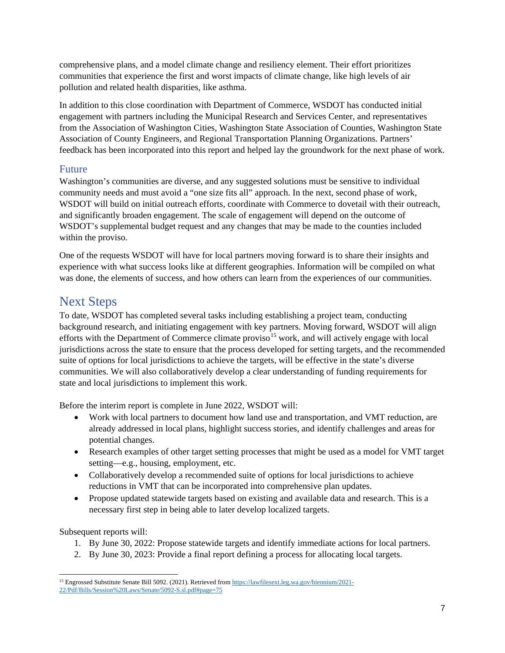comprehensive plans, and a model climate change and resiliency element. Their effort prioritizes communities that experience the first and worst impacts of climate change, like high levels of air pollution and related health disparities, like asthma.

In addition to this close coordination with Department of Commerce, WSDOT has conducted initial engagement with partners including the Municipal Research and Services Center, and representatives from the Association of Washington Cities, Washington State Association of Counties, Washington State Association of County Engineers, and Regional Transportation Planning Organizations. Partners' feedback has been incorporated into this report and helped lay the groundwork for the next phase of work.

#### Future

Washington's communities are diverse, and any suggested solutions must be sensitive to individual community needs and must avoid a "one size fits all" approach. In the next, second phase of work, WSDOT will build on initial outreach efforts, coordinate with Commerce to dovetail with their outreach, and significantly broaden engagement. The scale of engagement will depend on the outcome of WSDOT's supplemental budget request and any changes that may be made to the counties included within the proviso.

One of the requests WSDOT will have for local partners moving forward is to share their insights and experience with what success looks like at different geographies. Information will be compiled on what was done, the elements of success, and how others can learn from the experiences of our communities.

## Next Steps

To date, WSDOT has completed several tasks including establishing a project team, conducting background research, and initiating engagement with key partners. Moving forward, WSDOT will align efforts with the Department of Commerce climate proviso<sup>[15](#page-7-0)</sup> work, and will actively engage with local jurisdictions across the state to ensure that the process developed for setting targets, and the recommended suite of options for local jurisdictions to achieve the targets, will be effective in the state's diverse communities. We will also collaboratively develop a clear understanding of funding requirements for state and local jurisdictions to implement this work.

Before the interim report is complete in June 2022, WSDOT will:

- Work with local partners to document how land use and transportation, and VMT reduction, are already addressed in local plans, highlight success stories, and identify challenges and areas for potential changes.
- Research examples of other target setting processes that might be used as a model for VMT target setting—e.g., housing, employment, etc.
- Collaboratively develop a recommended suite of options for local jurisdictions to achieve reductions in VMT that can be incorporated into comprehensive plan updates.
- Propose updated statewide targets based on existing and available data and research. This is a necessary first step in being able to later develop localized targets.

Subsequent reports will:

- 1. By June 30, 2022: Propose statewide targets and identify immediate actions for local partners.
- 2. By June 30, 2023: Provide a final report defining a process for allocating local targets.

<span id="page-7-0"></span><sup>&</sup>lt;sup>15</sup> Engrossed Substitute Senate Bill 5092. (2021). Retrieved fro[m https://lawfilesext.leg.wa.gov/biennium/2021-](https://lawfilesext.leg.wa.gov/biennium/2021-22/Pdf/Bills/Session%20Laws/Senate/5092-S.sl.pdf#page=75) [22/Pdf/Bills/Session%20Laws/Senate/5092-S.sl.pdf#page=75](https://lawfilesext.leg.wa.gov/biennium/2021-22/Pdf/Bills/Session%20Laws/Senate/5092-S.sl.pdf#page=75)